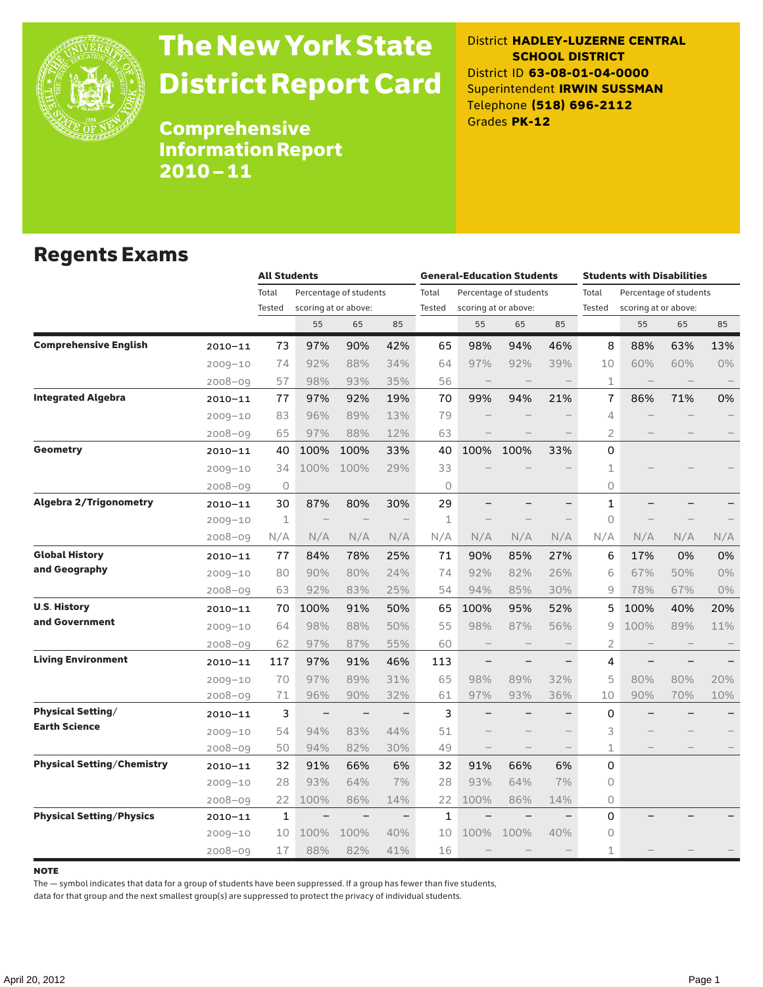

# The New York State District Report Card

District **HADLEY-LUZERNE CENTRAL SCHOOL DISTRICT** District ID **63-08-01-04-0000** Superintendent **IRWIN SUSSMAN** Telephone **(518) 696-2112** Grades **PK-12**

Comprehensive Information Report 2010–11

#### Regents Exams

|                                   |             |             | <b>All Students</b> |                        |          |        | <b>General-Education Students</b> |                          |                   |                                 | <b>Students with Disabilities</b> |     |     |  |
|-----------------------------------|-------------|-------------|---------------------|------------------------|----------|--------|-----------------------------------|--------------------------|-------------------|---------------------------------|-----------------------------------|-----|-----|--|
|                                   |             | Total       |                     | Percentage of students |          | Total  |                                   | Percentage of students   |                   | Total<br>Percentage of students |                                   |     |     |  |
|                                   |             | Tested      |                     | scoring at or above:   |          | Tested | scoring at or above:              |                          |                   | Tested                          | scoring at or above:              |     |     |  |
|                                   |             |             | 55                  | 65                     | 85       |        | 55                                | 65                       | 85                |                                 | 55                                | 65  | 85  |  |
| <b>Comprehensive English</b>      | $2010 - 11$ | 73          | 97%                 | 90%                    | 42%      | 65     | 98%                               | 94%                      | 46%               | 8                               | 88%                               | 63% | 13% |  |
|                                   | $2009 - 10$ | 74          | 92%                 | 88%                    | 34%      | 64     | 97%                               | 92%                      | 39%               | 10                              | 60%                               | 60% | 0%  |  |
|                                   | $2008 - 09$ | 57          | 98%                 | 93%                    | 35%      | 56     | $\overline{\phantom{0}}$          | $\qquad \qquad$          |                   | 1                               |                                   |     |     |  |
| <b>Integrated Algebra</b>         | $2010 - 11$ | 77          | 97%                 | 92%                    | 19%      | 70     | 99%                               | 94%                      | 21%               | 7                               | 86%                               | 71% | 0%  |  |
|                                   | $2009 - 10$ | 83          | 96%                 | 89%                    | 13%      | 79     |                                   |                          |                   | 4                               |                                   |     |     |  |
|                                   | $2008 - 09$ | 65          | 97%                 | 88%                    | 12%      | 63     |                                   |                          |                   | 2                               |                                   |     |     |  |
| <b>Geometry</b>                   | $2010 - 11$ | 40          | 100%                | 100%                   | 33%      | 40     | 100%                              | 100%                     | 33%               | 0                               |                                   |     |     |  |
|                                   | $2009 - 10$ | 34          | 100%                | 100%                   | 29%      | 33     |                                   |                          |                   | 1                               |                                   |     |     |  |
|                                   | $2008 - 09$ | 0           |                     |                        |          | 0      |                                   |                          |                   | 0                               |                                   |     |     |  |
| <b>Algebra 2/Trigonometry</b>     | $2010 - 11$ | 30          | 87%                 | 80%                    | 30%      | 29     |                                   |                          |                   | $\mathbf{1}$                    |                                   |     |     |  |
|                                   | $2009 - 10$ | $\mathbf 1$ |                     |                        |          | 1      |                                   |                          |                   | 0                               |                                   |     |     |  |
|                                   | $2008 - 09$ | N/A         | N/A                 | N/A                    | N/A      | N/A    | N/A                               | N/A                      | N/A               | N/A                             | N/A                               | N/A | N/A |  |
| <b>Global History</b>             | $2010 - 11$ | 77          | 84%                 | 78%                    | 25%      | 71     | 90%                               | 85%                      | 27%               | 6                               | 17%                               | 0%  | 0%  |  |
| and Geography                     | $2009 - 10$ | 80          | 90%                 | 80%                    | 24%      | 74     | 92%                               | 82%                      | 26%               | 6                               | 67%                               | 50% | 0%  |  |
|                                   | $2008 - 09$ | 63          | 92%                 | 83%                    | 25%      | 54     | 94%                               | 85%                      | 30%               | 9                               | 78%                               | 67% | 0%  |  |
| <b>U.S. History</b>               | $2010 - 11$ | 70          | 100%                | 91%                    | 50%      | 65     | 100%                              | 95%                      | 52%               | 5                               | 100%                              | 40% | 20% |  |
| and Government                    | $2009 - 10$ | 64          | 98%                 | 88%                    | 50%      | 55     | 98%                               | 87%                      | 56%               | 9                               | 100%                              | 89% | 11% |  |
|                                   | $2008 - 09$ | 62          | 97%                 | 87%                    | 55%      | 60     | $\overline{\phantom{a}}$          | $\overline{\phantom{a}}$ | $\qquad \qquad -$ | 2                               |                                   |     |     |  |
| <b>Living Environment</b>         | $2010 - 11$ | 117         | 97%                 | 91%                    | 46%      | 113    | $\overline{\phantom{0}}$          | $\overline{\phantom{0}}$ |                   | 4                               |                                   |     |     |  |
|                                   | $2009 - 10$ | 70          | 97%                 | 89%                    | 31%      | 65     | 98%                               | 89%                      | 32%               | 5                               | 80%                               | 80% | 20% |  |
|                                   | $2008 - 09$ | 71          | 96%                 | 90%                    | 32%      | 61     | 97%                               | 93%                      | 36%               | 10                              | 90%                               | 70% | 10% |  |
| <b>Physical Setting/</b>          | $2010 - 11$ | 3           |                     |                        |          | 3      |                                   |                          |                   | 0                               |                                   |     |     |  |
| <b>Earth Science</b>              | $2009 - 10$ | 54          | 94%                 | 83%                    | 44%      | 51     |                                   |                          |                   | 3                               |                                   |     |     |  |
|                                   | $2008 - 09$ | 50          | 94%                 | 82%                    | 30%      | 49     | $\overline{\phantom{0}}$          | $\overline{\phantom{0}}$ |                   | 1                               |                                   |     |     |  |
| <b>Physical Setting/Chemistry</b> | $2010 - 11$ | 32          | 91%                 | 66%                    | 6%       | 32     | 91%                               | 66%                      | 6%                | 0                               |                                   |     |     |  |
|                                   | $2009 - 10$ | 28          | 93%                 | 64%                    | 7%       | 28     | 93%                               | 64%                      | 7%                | 0                               |                                   |     |     |  |
|                                   | $2008 - 09$ | 22          | 100%                | 86%                    | 14%      | 22     | 100%                              | 86%                      | 14%               | 0                               |                                   |     |     |  |
| <b>Physical Setting/Physics</b>   | $2010 - 11$ | 1           |                     |                        | $\equiv$ | 1      |                                   |                          |                   | 0                               |                                   |     |     |  |
|                                   | $2009 - 10$ | 10          | 100%                | 100%                   | 40%      | 10     | 100%                              | 100%                     | 40%               | 0                               |                                   |     |     |  |
|                                   | $2008 - 09$ | 17          | 88%                 | 82%                    | 41%      | 16     |                                   |                          |                   | 1                               |                                   |     |     |  |

#### note

The — symbol indicates that data for a group of students have been suppressed. If a group has fewer than five students,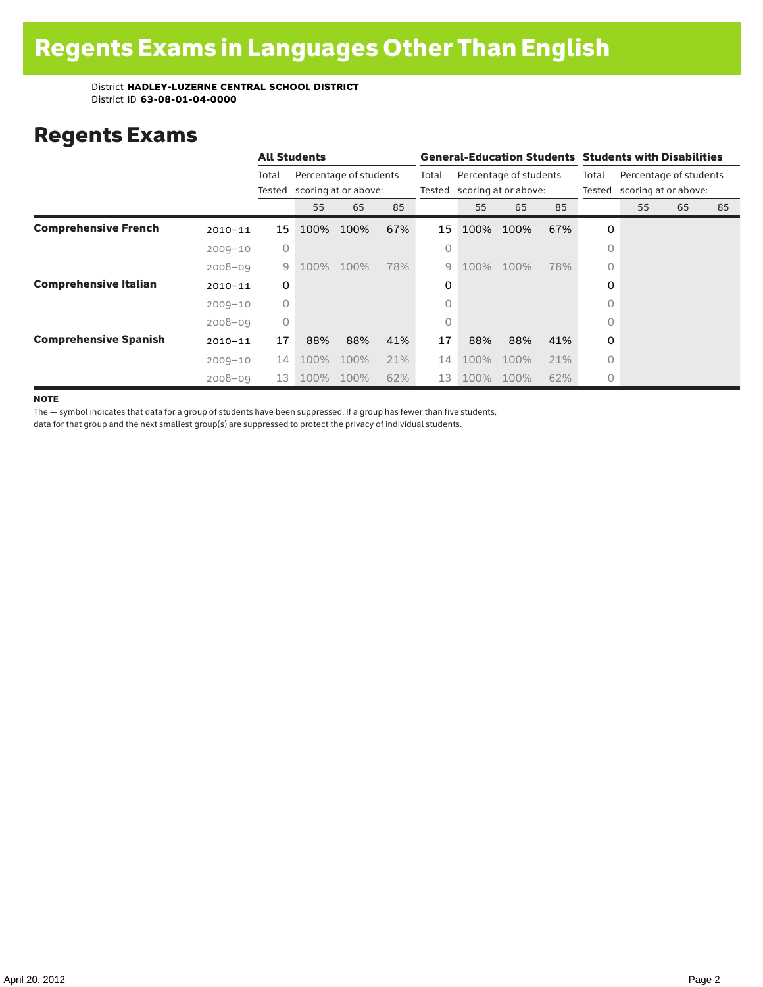### Regents Exams

|                              |             |                 | <b>All Students</b>                            |      |                 |                                                | <b>General-Education Students Students with Disabilities</b> |                 |                                                |   |    |    |    |  |
|------------------------------|-------------|-----------------|------------------------------------------------|------|-----------------|------------------------------------------------|--------------------------------------------------------------|-----------------|------------------------------------------------|---|----|----|----|--|
|                              |             | Total<br>Tested | Percentage of students<br>scoring at or above: |      | Total<br>Tested | Percentage of students<br>scoring at or above: |                                                              | Total<br>Tested | Percentage of students<br>scoring at or above: |   |    |    |    |  |
|                              |             |                 | 55                                             | 65   | 85              |                                                | 55                                                           | 65              | 85                                             |   | 55 | 65 | 85 |  |
| <b>Comprehensive French</b>  | $2010 - 11$ | 15              | 100%                                           | 100% | 67%             | 15                                             | 100%                                                         | 100%            | 67%                                            | 0 |    |    |    |  |
|                              | $2009 - 10$ | 0               |                                                |      |                 | 0                                              |                                                              |                 |                                                | 0 |    |    |    |  |
|                              | $2008 - 09$ | 9               | 100%                                           | 100% | 78%             | 9                                              | 100%                                                         | 100%            | 78%                                            | 0 |    |    |    |  |
| <b>Comprehensive Italian</b> | $2010 - 11$ | 0               |                                                |      |                 | 0                                              |                                                              |                 |                                                | 0 |    |    |    |  |
|                              | $2009 - 10$ | $\circ$         |                                                |      |                 | 0                                              |                                                              |                 |                                                | O |    |    |    |  |
|                              | $2008 - 09$ | $\circ$         |                                                |      |                 | 0                                              |                                                              |                 |                                                | 0 |    |    |    |  |
| <b>Comprehensive Spanish</b> | $2010 - 11$ | 17              | 88%                                            | 88%  | 41%             | 17                                             | 88%                                                          | 88%             | 41%                                            | 0 |    |    |    |  |
|                              | $2009 - 10$ | 14              | 100%                                           | 100% | 21%             | 14                                             | 100%                                                         | 100%            | 21%                                            | 0 |    |    |    |  |
|                              | $2008 - 09$ | 13              | 100%                                           | 100% | 62%             | 13                                             | 100%                                                         | 100%            | 62%                                            | 0 |    |    |    |  |

**NOTE** 

The — symbol indicates that data for a group of students have been suppressed. If a group has fewer than five students,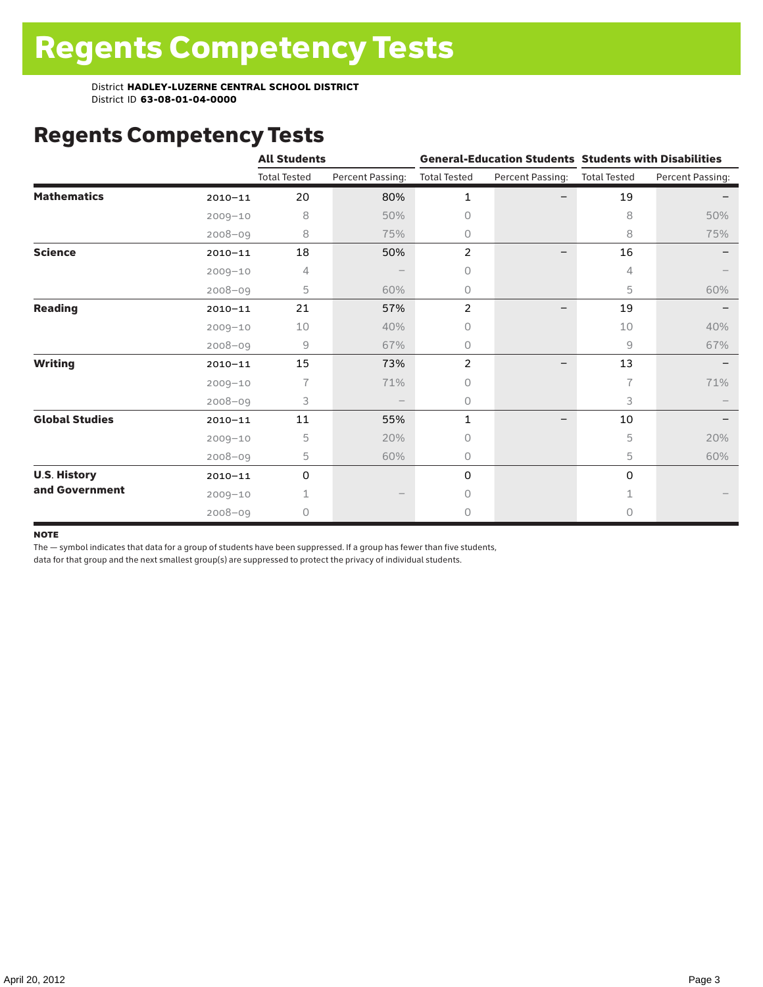# Regents Competency Tests

|                       |             | <b>All Students</b> |                  |                     |                          | <b>General-Education Students Students with Disabilities</b> |                  |  |  |
|-----------------------|-------------|---------------------|------------------|---------------------|--------------------------|--------------------------------------------------------------|------------------|--|--|
|                       |             | <b>Total Tested</b> | Percent Passing: | <b>Total Tested</b> | Percent Passing:         | <b>Total Tested</b>                                          | Percent Passing: |  |  |
| <b>Mathematics</b>    | $2010 - 11$ | 20                  | 80%              | $\mathbf{1}$        |                          | 19                                                           |                  |  |  |
|                       | $2009 - 10$ | 8                   | 50%              | $\Omega$            |                          | 8                                                            | 50%              |  |  |
|                       | $2008 - 09$ | 8                   | 75%              | 0                   |                          | 8                                                            | 75%              |  |  |
| <b>Science</b>        | $2010 - 11$ | 18                  | 50%              | 2                   |                          | 16                                                           |                  |  |  |
|                       | $2009 - 10$ | 4                   |                  | 0                   |                          | 4                                                            |                  |  |  |
|                       | $2008 - 09$ | 5                   | 60%              | 0                   |                          | 5                                                            | 60%              |  |  |
| <b>Reading</b>        | $2010 - 11$ | 21                  | 57%              | 2                   | $\overline{\phantom{0}}$ | 19                                                           |                  |  |  |
|                       | $2009 - 10$ | 10                  | 40%              | 0                   |                          | 10                                                           | 40%              |  |  |
|                       | $2008 - 09$ | 9                   | 67%              | 0                   |                          | 9                                                            | 67%              |  |  |
| <b>Writing</b>        | $2010 - 11$ | 15                  | 73%              | $\overline{2}$      |                          | 13                                                           |                  |  |  |
|                       | $2009 - 10$ | 7                   | 71%              | 0                   |                          | 7                                                            | 71%              |  |  |
|                       | $2008 - 09$ | 3                   |                  | 0                   |                          | 3                                                            |                  |  |  |
| <b>Global Studies</b> | $2010 - 11$ | 11                  | 55%              | $\mathbf{1}$        |                          | 10                                                           |                  |  |  |
|                       | $2009 - 10$ | 5                   | 20%              | 0                   |                          | 5                                                            | 20%              |  |  |
|                       | $2008 - 09$ | 5                   | 60%              | 0                   |                          | 5                                                            | 60%              |  |  |
| <b>U.S. History</b>   | $2010 - 11$ | 0                   |                  | 0                   |                          | $\Omega$                                                     |                  |  |  |
| and Government        | $2009 - 10$ |                     |                  | 0                   |                          |                                                              |                  |  |  |
|                       | $2008 - 09$ | 0                   |                  | 0                   |                          | 0                                                            |                  |  |  |

#### note

The — symbol indicates that data for a group of students have been suppressed. If a group has fewer than five students,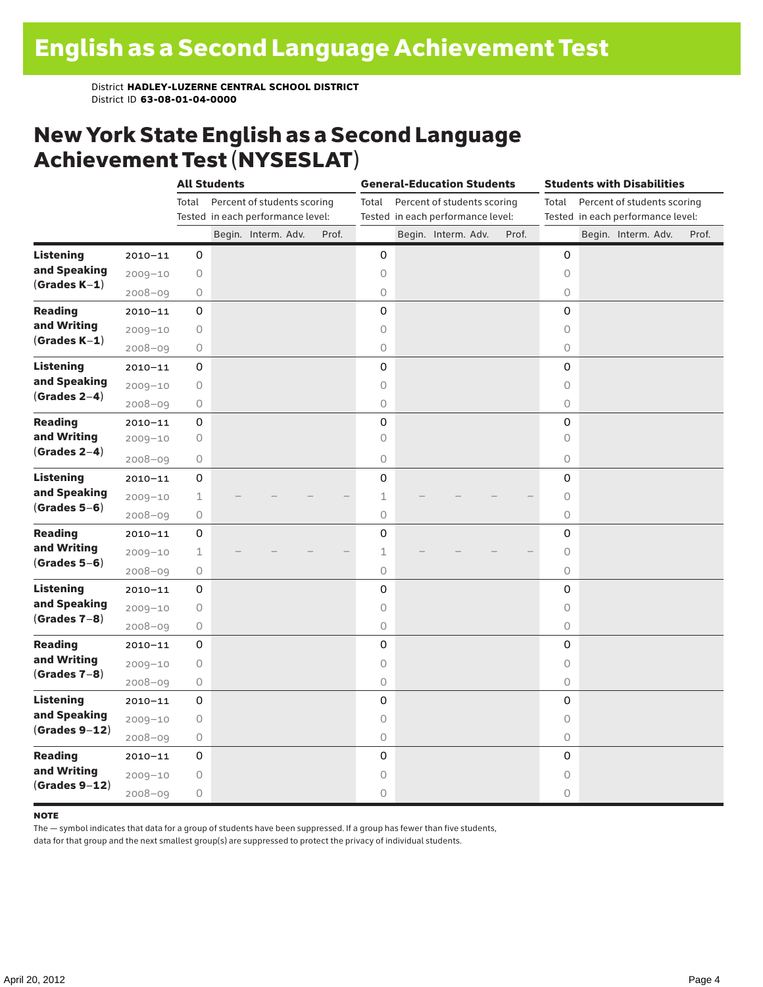### New York State English as a Second Language Achievement Test (NYSESLAT)

|                  |             |             | <b>All Students</b> |                                   |       | <b>General-Education Students</b> |  |                                   |  | <b>Students with Disabilities</b> |                     |  |                                   |  |       |
|------------------|-------------|-------------|---------------------|-----------------------------------|-------|-----------------------------------|--|-----------------------------------|--|-----------------------------------|---------------------|--|-----------------------------------|--|-------|
|                  |             | Total       |                     | Percent of students scoring       |       | Total                             |  | Percent of students scoring       |  |                                   | Total               |  | Percent of students scoring       |  |       |
|                  |             |             |                     | Tested in each performance level: |       |                                   |  | Tested in each performance level: |  |                                   |                     |  | Tested in each performance level: |  |       |
|                  |             |             |                     | Begin. Interm. Adv.               | Prof. |                                   |  | Begin. Interm. Adv.               |  | Prof.                             |                     |  | Begin. Interm. Adv.               |  | Prof. |
| <b>Listening</b> | $2010 - 11$ | 0           |                     |                                   |       | 0                                 |  |                                   |  |                                   | 0                   |  |                                   |  |       |
| and Speaking     | $2009 - 10$ | $\bigcirc$  |                     |                                   |       | 0                                 |  |                                   |  |                                   | $\circ$             |  |                                   |  |       |
| $(Grades K-1)$   | $2008 - 09$ | $\bigcirc$  |                     |                                   |       | $\circlearrowright$               |  |                                   |  |                                   | 0                   |  |                                   |  |       |
| <b>Reading</b>   | $2010 - 11$ | 0           |                     |                                   |       | 0                                 |  |                                   |  |                                   | 0                   |  |                                   |  |       |
| and Writing      | $2009 - 10$ | $\bigcirc$  |                     |                                   |       | 0                                 |  |                                   |  |                                   | 0                   |  |                                   |  |       |
| $(Grades K-1)$   | $2008 - 09$ | $\circ$     |                     |                                   |       | $\circ$                           |  |                                   |  |                                   | 0                   |  |                                   |  |       |
| <b>Listening</b> | $2010 - 11$ | 0           |                     |                                   |       | $\mathsf 0$                       |  |                                   |  |                                   | 0                   |  |                                   |  |       |
| and Speaking     | $2009 - 10$ | $\bigcirc$  |                     |                                   |       | $\circ$                           |  |                                   |  |                                   | $\circ$             |  |                                   |  |       |
| $(Grades 2-4)$   | $2008 - 09$ | $\bigcirc$  |                     |                                   |       | $\circ$                           |  |                                   |  |                                   | $\circ$             |  |                                   |  |       |
| <b>Reading</b>   | $2010 - 11$ | 0           |                     |                                   |       | 0                                 |  |                                   |  |                                   | 0                   |  |                                   |  |       |
| and Writing      | $2009 - 10$ | 0           |                     |                                   |       | 0                                 |  |                                   |  |                                   | $\circ$             |  |                                   |  |       |
| $(Grades 2-4)$   | $2008 - 09$ | $\bigcirc$  |                     |                                   |       | $\circ$                           |  |                                   |  |                                   | 0                   |  |                                   |  |       |
| <b>Listening</b> | $2010 - 11$ | 0           |                     |                                   |       | $\mathbf 0$                       |  |                                   |  |                                   | 0                   |  |                                   |  |       |
| and Speaking     | $2009 - 10$ | $\mathbf 1$ |                     |                                   |       | 1                                 |  |                                   |  |                                   | $\circlearrowright$ |  |                                   |  |       |
| $(Grades 5-6)$   | $2008 - 09$ | $\bigcirc$  |                     |                                   |       | $\mathsf O$                       |  |                                   |  |                                   | 0                   |  |                                   |  |       |
| <b>Reading</b>   | $2010 - 11$ | 0           |                     |                                   |       | $\mathsf 0$                       |  |                                   |  |                                   | 0                   |  |                                   |  |       |
| and Writing      | $2009 - 10$ | $\mathbf 1$ |                     |                                   |       | $\mathbf 1$                       |  |                                   |  |                                   | $\circ$             |  |                                   |  |       |
| $(Grades 5-6)$   | $2008 - 09$ | $\bigcirc$  |                     |                                   |       | $\bigcirc$                        |  |                                   |  |                                   | $\circ$             |  |                                   |  |       |
| <b>Listening</b> | $2010 - 11$ | 0           |                     |                                   |       | 0                                 |  |                                   |  |                                   | 0                   |  |                                   |  |       |
| and Speaking     | $2009 - 10$ | 0           |                     |                                   |       | $\circ$                           |  |                                   |  |                                   | $\circ$             |  |                                   |  |       |
| $(Grades 7-8)$   | $2008 - 09$ | 0           |                     |                                   |       | 0                                 |  |                                   |  |                                   | $\circ$             |  |                                   |  |       |
| <b>Reading</b>   | $2010 - 11$ | 0           |                     |                                   |       | 0                                 |  |                                   |  |                                   | 0                   |  |                                   |  |       |
| and Writing      | $2009 - 10$ | $\bigcirc$  |                     |                                   |       | $\mathsf O$                       |  |                                   |  |                                   | 0                   |  |                                   |  |       |
| $(Grades 7-8)$   | $2008 - 09$ | $\bigcirc$  |                     |                                   |       | $\mathsf O$                       |  |                                   |  |                                   | 0                   |  |                                   |  |       |
| <b>Listening</b> | $2010 - 11$ | 0           |                     |                                   |       | 0                                 |  |                                   |  |                                   | $\mathbf 0$         |  |                                   |  |       |
| and Speaking     | $2009 - 10$ | $\bigcirc$  |                     |                                   |       | $\circ$                           |  |                                   |  |                                   | $\circ$             |  |                                   |  |       |
| $(Grades 9-12)$  | $2008 - 09$ | $\bigcirc$  |                     |                                   |       | $\bigcirc$                        |  |                                   |  |                                   | 0                   |  |                                   |  |       |
| <b>Reading</b>   | $2010 - 11$ | 0           |                     |                                   |       | 0                                 |  |                                   |  |                                   | 0                   |  |                                   |  |       |
| and Writing      | $2009 - 10$ | $\bigcirc$  |                     |                                   |       | 0                                 |  |                                   |  |                                   | $\circ$             |  |                                   |  |       |
| $(Grades 9-12)$  | $2008 - 09$ | $\bigcirc$  |                     |                                   |       | $\circ$                           |  |                                   |  |                                   | 0                   |  |                                   |  |       |

#### note

The — symbol indicates that data for a group of students have been suppressed. If a group has fewer than five students,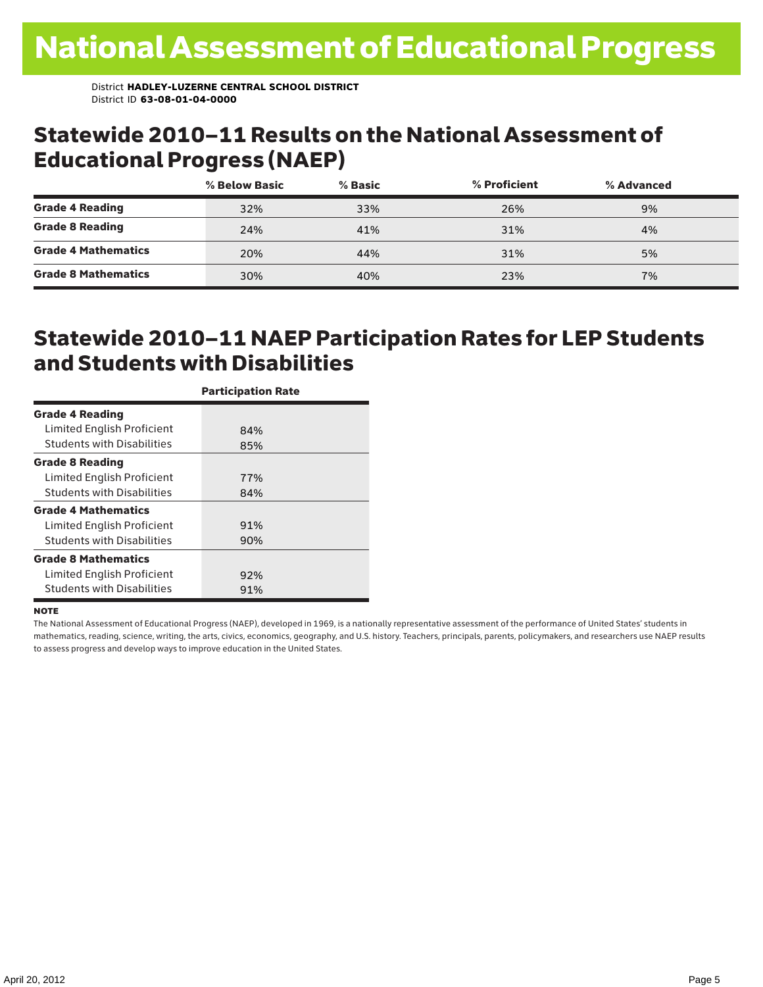#### Statewide 2010–11 Results on the National Assessment of Educational Progress (NAEP)

|                            | % Below Basic | % Basic | % Proficient | % Advanced |  |
|----------------------------|---------------|---------|--------------|------------|--|
| <b>Grade 4 Reading</b>     | 32%           | 33%     | 26%          | 9%         |  |
| <b>Grade 8 Reading</b>     | 24%           | 41%     | 31%          | 4%         |  |
| <b>Grade 4 Mathematics</b> | 20%           | 44%     | 31%          | 5%         |  |
| <b>Grade 8 Mathematics</b> | 30%           | 40%     | 23%          | 7%         |  |

### Statewide 2010–11 NAEP Participation Rates for LEP Students and Students with Disabilities

|                                   | <b>Participation Rate</b> |
|-----------------------------------|---------------------------|
| <b>Grade 4 Reading</b>            |                           |
| Limited English Proficient        | 84%                       |
| <b>Students with Disabilities</b> | 85%                       |
| <b>Grade 8 Reading</b>            |                           |
| Limited English Proficient        | 77%                       |
| <b>Students with Disabilities</b> | 84%                       |
| <b>Grade 4 Mathematics</b>        |                           |
| Limited English Proficient        | 91%                       |
| <b>Students with Disabilities</b> | 90%                       |
| <b>Grade 8 Mathematics</b>        |                           |
| Limited English Proficient        | 92%                       |
| <b>Students with Disabilities</b> | 91%                       |

#### **NOTE**

The National Assessment of Educational Progress (NAEP), developed in 1969, is a nationally representative assessment of the performance of United States' students in mathematics, reading, science, writing, the arts, civics, economics, geography, and U.S. history. Teachers, principals, parents, policymakers, and researchers use NAEP results to assess progress and develop ways to improve education in the United States.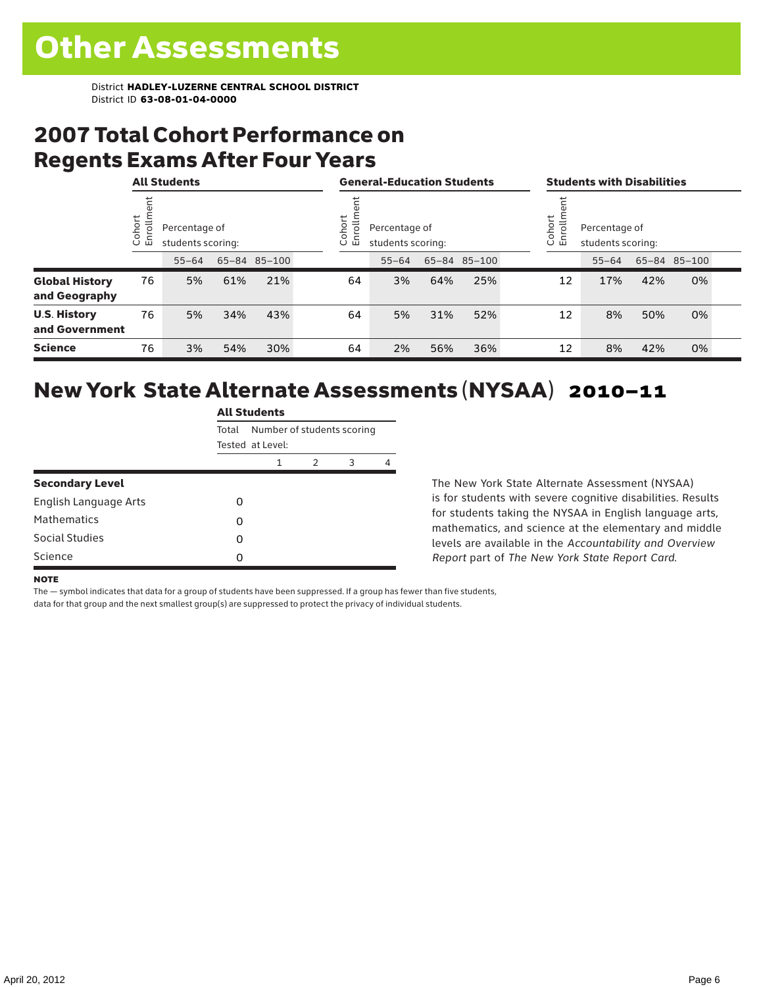### 2007 Total Cohort Performance on Regents Exams After Four Years

|                                        |                        | <b>All Students</b>                |     |              | <b>General-Education Students</b> |                                    |     |              | <b>Students with Disabilities</b> |                                    |     |              |  |
|----------------------------------------|------------------------|------------------------------------|-----|--------------|-----------------------------------|------------------------------------|-----|--------------|-----------------------------------|------------------------------------|-----|--------------|--|
|                                        | ohort<br>$\circ$<br>ごこ | Percentage of<br>students scoring: |     |              | ohort<br>rolln<br>문<br>$\cup$     | Percentage of<br>students scoring: |     |              | Cohort<br>Enrollm                 | Percentage of<br>students scoring: |     |              |  |
|                                        |                        | $55 - 64$                          |     | 65-84 85-100 |                                   | $55 - 64$                          |     | 65-84 85-100 |                                   | $55 - 64$                          |     | 65-84 85-100 |  |
| <b>Global History</b><br>and Geography | 76                     | 5%                                 | 61% | 21%          | 64                                | 3%                                 | 64% | 25%          | 12                                | 17%                                | 42% | 0%           |  |
| <b>U.S. History</b><br>and Government  | 76                     | 5%                                 | 34% | 43%          | 64                                | 5%                                 | 31% | 52%          | 12                                | 8%                                 | 50% | 0%           |  |
| <b>Science</b>                         | 76                     | 3%                                 | 54% | 30%          | 64                                | 2%                                 | 56% | 36%          | 12                                | 8%                                 | 42% | 0%           |  |

### New York State Alternate Assessments (NYSAA) 2010–11

|                        | <b>All Students</b> |                            |   |   |   |  |  |  |  |
|------------------------|---------------------|----------------------------|---|---|---|--|--|--|--|
|                        | Total               | Number of students scoring |   |   |   |  |  |  |  |
|                        |                     | Tested at Level:           |   |   |   |  |  |  |  |
|                        |                     | 1                          | 2 | 3 | 4 |  |  |  |  |
| <b>Secondary Level</b> |                     |                            |   |   |   |  |  |  |  |
| English Language Arts  | Ω                   |                            |   |   |   |  |  |  |  |
| <b>Mathematics</b>     | 0                   |                            |   |   |   |  |  |  |  |
| Social Studies         | Ω                   |                            |   |   |   |  |  |  |  |
| Science                | O                   |                            |   |   |   |  |  |  |  |

The New York State Alternate Assessment (NYSAA) is for students with severe cognitive disabilities. Results for students taking the NYSAA in English language arts, mathematics, and science at the elementary and middle levels are available in the *Accountability and Overview Report* part of *The New York State Report Card*.

#### **NOTE**

The — symbol indicates that data for a group of students have been suppressed. If a group has fewer than five students,